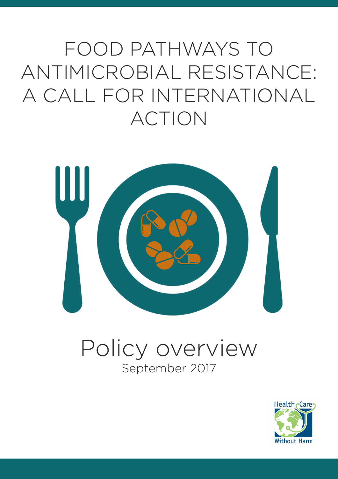FOOD PATHWAYS TO ANTIMICROBIAL RESISTANCE: A CALL FOR INTERNATIONAL ACTION



### Policy overview September 2017

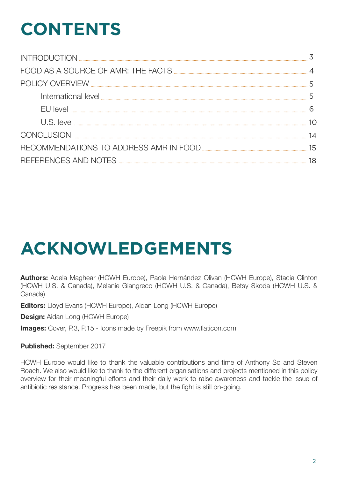# **CONTENTS**

| CONCLUSION |    |
|------------|----|
|            | 15 |
|            | 18 |

## **ACKNOWLEDGEMENTS**

**Authors:** Adela Maghear (HCWH Europe), Paola Hernández Olivan (HCWH Europe), Stacia Clinton (HCWH U.S. & Canada), Melanie Giangreco (HCWH U.S. & Canada), Betsy Skoda (HCWH U.S. & Canada)

**Editors:** Lloyd Evans (HCWH Europe), Aidan Long (HCWH Europe)

**Design:** Aidan Long (HCWH Europe)

**Images:** Cover, P.3, P.15 - Icons made by Freepik from www.flaticon.com

**Published:** September 2017

HCWH Europe would like to thank the valuable contributions and time of Anthony So and Steven Roach. We also would like to thank to the different organisations and projects mentioned in this policy overview for their meaningful efforts and their daily work to raise awareness and tackle the issue of antibiotic resistance. Progress has been made, but the fight is still on-going.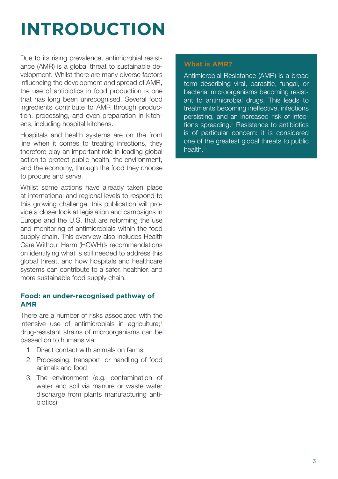# **INTRODUCTION**

Due to its rising prevalence, antimicrobial resistance (AMR) is a global threat to sustainable development. Whilst there are many diverse factors influencing the development and spread of AMR, the use of antibiotics in food production is one that has long been unrecognised. Several food ingredients contribute to AMR through production, processing, and even preparation in kitchens, including hospital kitchens.

Hospitals and health systems are on the front line when it comes to treating infections, they therefore play an important role in leading global action to protect public health, the environment, and the economy, through the food they choose to procure and serve.

Whilst some actions have already taken place at international and regional levels to respond to this growing challenge, this publication will provide a closer look at legislation and campaigns in Europe and the U.S. that are reforming the use and monitoring of antimicrobials within the food supply chain. This overview also includes Health Care Without Harm (HCWH)'s recommendations on identifying what is still needed to address this global threat, and how hospitals and healthcare systems can contribute to a safer, healthier, and more sustainable food supply chain.

#### **Food: an under-recognised pathway of AMR**

There are a number of risks associated with the intensive use of antimicrobials in agriculture;<sup>1</sup> drug-resistant strains of microorganisms can be passed on to humans via:

- 1. Direct contact with animals on farms
- 2. Processing, transport, or handling of food animals and food
- 3. The environment (e.g. contamination of water and soil via manure or waste water discharge from plants manufacturing antibiotics)

#### **What is AMR?**

Antimicrobial Resistance (AMR) is a broad term describing viral, parasitic, fungal, or bacterial microorganisms becoming resistant to antimicrobial drugs. This leads to treatments becoming ineffective, infections persisting, and an increased risk of infections spreading.<sup>2</sup> Resistance to antibiotics is of particular concern: it is considered one of the greatest global threats to public health.3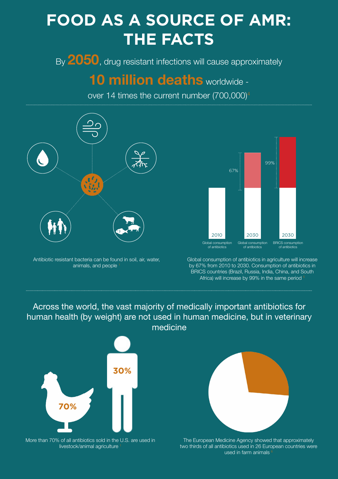### **FOOD AS A SOURCE OF AMR: THE FACTS**

By **2050**, drug resistant infections will cause approximately

### **10 million deaths** worldwide -

over 14 times the current number (700,000)4



Antibiotic resistant bacteria can be found in soil, air, water, animals, and people 1



Global consumption of antibiotics in agriculture will increase by 67% from 2010 to 2030. Consumption of antibiotics in BRICS countries (Brazil, Russia, India, China, and South Africa) will increase by 99% in the same period

### Across the world, the vast majority of medically important antibiotics for human health (by weight) are not used in human medicine, but in veterinary medicine



More than 70% of all antibiotics sold in the U.S. are used in livestock/animal agriculture



The European Medicine Agency showed that approximately two thirds of all antibiotics used in 26 European countries were used in farm animals 6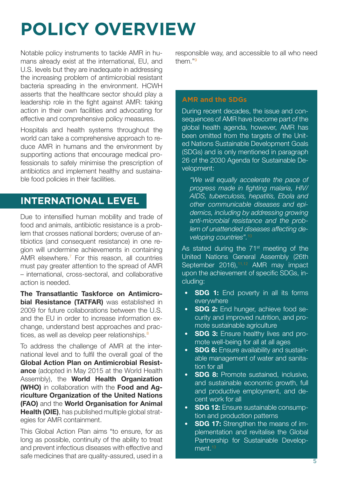# **POLICY OVERVIEW**

Notable policy instruments to tackle AMR in humans already exist at the international, EU, and U.S. levels but they are inadequate in addressing the increasing problem of antimicrobial resistant bacteria spreading in the environment. HCWH asserts that the healthcare sector should play a leadership role in the fight against AMR: taking action in their own facilities and advocating for effective and comprehensive policy measures.

Hospitals and health systems throughout the world can take a comprehensive approach to reduce AMR in humans and the environment by supporting actions that encourage medical professionals to safely minimise the prescription of antibiotics and implement healthy and sustainable food policies in their facilities.

### **INTERNATIONAL LEVEL**

Due to intensified human mobility and trade of food and animals, antibiotic resistance is a problem that crosses national borders; overuse of antibiotics (and consequent resistance) in one region will undermine achievements in containing AMR elsewhere.7 For this reason, all countries must pay greater attention to the spread of AMR – international, cross-sectoral, and collaborative action is needed.

**The Transatlantic Taskforce on Antimicrobial Resistance (TATFAR)** was established in 2009 for future collaborations between the U.S. and the EU in order to increase information exchange, understand best approaches and practices, as well as develop peer relationships.<sup>8</sup>

To address the challenge of AMR at the international level and to fulfil the overall goal of the **Global Action Plan on Antimicrobial Resistance** (adopted in May 2015 at the World Health Assembly), the **World Health Organization (WHO)** in collaboration with the **Food and Agriculture Organization of the United Nations (FAO)** and the **World Organisation for Animal Health (OIE)**, has published multiple global strategies for AMR containment.

This Global Action Plan aims "to ensure, for as long as possible, continuity of the ability to treat and prevent infectious diseases with effective and safe medicines that are quality-assured, used in a

responsible way, and accessible to all who need them<sup>"9</sup>

#### **AMR and the SDGs**

During recent decades, the issue and consequences of AMR have become part of the global health agenda, however, AMR has been omitted from the targets of the United Nations Sustainable Development Goals (SDGs) and is only mentioned in paragraph 26 of the 2030 Agenda for Sustainable Development:

*"We will equally accelerate the pace of progress made in fighting malaria, HIV/ AIDS, tuberculosis, hepatitis, Ebola and other communicable diseases and epidemics, including by addressing growing anti-microbial resistance and the problem of unattended diseases affecting developing countries".*<sup>10</sup>

As stated during the  $71<sup>st</sup>$  meeting of the United Nations General Assembly (26th September 2016),<sup>11,12</sup> AMR may impact upon the achievement of specific SDGs, including:

- **SDG 1:** End poverty in all its forms everywhere
- **SDG 2:** End hunger, achieve food security and improved nutrition, and promote sustainable agriculture
- **SDG 3:** Ensure healthy lives and promote well-being for all at all ages
- **SDG 6:** Ensure availability and sustainable management of water and sanitation for all
- **SDG 8:** Promote sustained, inclusive, and sustainable economic growth, full and productive employment, and decent work for all
- **SDG 12:** Ensure sustainable consumption and production patterns
- **SDG 17:** Strengthen the means of implementation and revitalise the Global Partnership for Sustainable Development.<sup>13</sup>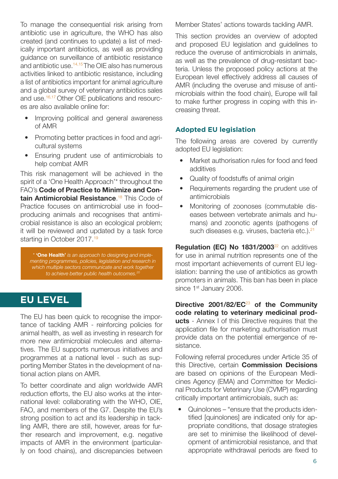To manage the consequential risk arising from antibiotic use in agriculture, the WHO has also created (and continues to update) a list of medically important antibiotics, as well as providing guidance on surveillance of antibiotic resistance and antibiotic use.<sup> $14,15$ </sup> The OIE also has numerous activities linked to antibiotic resistance, including a list of antibiotics important for animal agriculture and a global survey of veterinary antibiotics sales and use.16,17 Other OIE publications and resources are also available online for:

- Improving political and general awareness of AMR
- Promoting better practices in food and agricultural systems
- Ensuring prudent use of antimicrobials to help combat AMR

This risk management will be achieved in the spirit of a 'One Health Approach'\* throughout the FAO's **Code of Practice to Minimize and Contain Antimicrobial Resistance**. 18 This Code of Practice focuses on antimicrobial use in food– producing animals and recognises that antimicrobial resistance is also an ecological problem; it will be reviewed and updated by a task force starting in October 2017.<sup>19</sup>

*\** **'One Health'** *is an approach to designing and implementing programmes, policies, legislation and research in*  which multiple sectors communicate and work together *to achieve better public health outcomes.<sup>20</sup>*

### **EU LEVEL**

The EU has been quick to recognise the importance of tackling AMR - reinforcing policies for animal health, as well as investing in research for more new antimicrobial molecules and alternatives. The EU supports numerous initiatives and programmes at a national level - such as supporting Member States in the development of national action plans on AMR.

To better coordinate and align worldwide AMR reduction efforts, the EU also works at the international level: collaborating with the WHO, OIE, FAO, and members of the G7. Despite the EU's strong position to act and its leadership in tackling AMR, there are still, however, areas for further research and improvement, e.g. negative impacts of AMR in the environment (particularly on food chains), and discrepancies between Member States' actions towards tackling AMR.

This section provides an overview of adopted and proposed EU legislation and guidelines to reduce the overuse of antimicrobials in animals, as well as the prevalence of drug-resistant bacteria. Unless the proposed policy actions at the European level effectively address all causes of AMR (including the overuse and misuse of antimicrobials within the food chain), Europe will fail to make further progress in coping with this increasing threat.

#### **Adopted EU legislation**

The following areas are covered by currently adopted EU legislation:

- Market authorisation rules for food and feed additives
- Quality of foodstuffs of animal origin
- Requirements regarding the prudent use of antimicrobials
- Monitoring of zoonoses (commutable diseases between vertebrate animals and humans) and zoonotic agents (pathogens of such diseases e.g. viruses, bacteria etc.).<sup>21</sup>

**Regulation (EC) No 1831/2003**<sup>22</sup> on additives for use in animal nutrition represents one of the most important achievements of current EU legislation: banning the use of antibiotics as growth promoters in animals. This ban has been in place since 1<sup>st</sup> January 2006.

**Directive 2001/82/EC**<sup>23</sup> **of the Community code relating to veterinary medicinal products** - Annex I of this Directive requires that the application file for marketing authorisation must provide data on the potential emergence of resistance.

Following referral procedures under Article 35 of this Directive, certain **Commission Decisions** are based on opinions of the European Medicines Agency (EMA) and Committee for Medicinal Products for Veterinary Use (CVMP) regarding critically important antimicrobials, such as:

• Quinolones – "ensure that the products identified [quinolones] are indicated only for appropriate conditions, that dosage strategies are set to minimise the likelihood of development of antimicrobial resistance, and that appropriate withdrawal periods are fixed to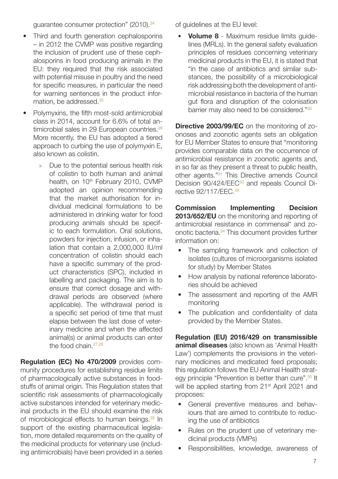guarantee consumer protection" (2010).24

- Third and fourth generation cephalosporins – in 2012 the CVMP was positive regarding the inclusion of prudent use of these cephalosporins in food producing animals in the EU: they required that the risk associated with potential misuse in poultry and the need for specific measures, in particular the need for warning sentences in the product information, be addressed.<sup>25</sup>
- Polymyxins, the fifth most-sold antimicrobial class in 2014, account for 6.6% of total antimicrobial sales in 29 European countries.<sup>26</sup> More recently, the EU has adopted a tiered approach to curbing the use of polymyxin E, also known as colistin.
	- » Due to the potential serious health risk of colistin to both human and animal health, on 10<sup>th</sup> February 2010, CVMP adopted an opinion recommending that the market authorisation for individual medicinal formulations to be administered in drinking water for food producing animals should be specific to each formulation. Oral solutions, powders for injection, infusion, or inhalation that contain a 2,000,000 IU/ml concentration of colistin should each have a specific summary of the product characteristics (SPC), included in labelling and packaging. The aim is to ensure that correct dosage and withdrawal periods are observed (where applicable). The withdrawal period is a specific set period of time that must elapse between the last dose of veterinary medicine and when the affected animal(s) or animal products can enter the food chain.<sup>27,28</sup>

**Regulation (EC) No 470/2009** provides community procedures for establishing residue limits of pharmacologically active substances in foodstuffs of animal origin. This Regulation states that scientific risk assessments of pharmacologically active substances intended for veterinary medicinal products in the EU should examine the risk of microbiological effects to human beings.<sup>29</sup> In support of the existing pharmaceutical legislation, more detailed requirements on the quality of the medicinal products for veterinary use (including antimicrobials) have been provided in a series of guidelines at the EU level:

• **Volume 8** - Maximum residue limits guidelines (MRLs). In the general safety evaluation principles of residues concerning veterinary medicinal products in the EU, it is stated that "in the case of antibiotics and similar substances, the possibility of a microbiological risk addressing both the development of antimicrobial resistance in bacteria of the human gut flora and disruption of the colonisation barrier may also need to be considered."30

**Directive 2003/99/EC** on the monitoring of zoonoses and zoonotic agents sets an obligation for EU Member States to ensure that "monitoring provides comparable data on the occurrence of antimicrobial resistance in zoonotic agents and, in so far as they present a threat to public health, other agents."31 This Directive amends Council Decision 90/424/EEC<sup>32</sup> and repeals Council Directive 92/117/FFC.<sup>33</sup>

**Commission Implementing Decision 2013/652/EU** on the monitoring and reporting of antimicrobial resistance in commensal\* and zoonotic bacteria.<sup>34</sup> This document provides further information on:

- The sampling framework and collection of isolates (cultures of microorganisms isolated for study) by Member States
- How analysis by national reference laboratories should be achieved
- The assessment and reporting of the AMR monitoring
- The publication and confidentiality of data provided by the Member States.

**Regulation (EU) 2016/429 on transmissible animal diseases** (also known as 'Animal Health Law') complements the provisions in the veterinary medicines and medicated feed proposals; this regulation follows the EU Animal Health strategy principle "Prevention is better than cure".<sup>35</sup> It will be applied starting from 21<sup>st</sup> April 2021 and proposes:

- General preventive measures and behaviours that are aimed to contribute to reducing the use of antibiotics
- Rules on the prudent use of veterinary medicinal products (VMPs)
- Responsibilities, knowledge, awareness of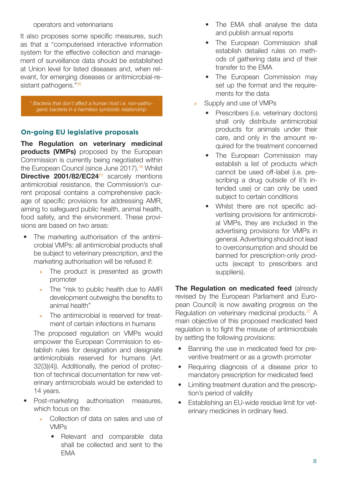#### operators and veterinarians

It also proposes some specific measures, such as that a "computerised interactive information system for the effective collection and management of surveillance data should be established at Union level for listed diseases and, when relevant, for emerging diseases or antimicrobial-resistant pathogens."<sup>35</sup>

*\* Bacteria that don't affect a human host i.e. non-pathogenic bacteria in a harmless symbiotic relationship*

#### **On-going EU legislative proposals**

**The Regulation on veterinary medicinal products (VMPs)** proposed by the European Commission is currently being negotiated within the European Council (since June 2017).<sup>36</sup> Whilst **Directive 2001/82/EC24**<sup>23</sup> scarcely mentions antimicrobial resistance, the Commission's current proposal contains a comprehensive package of specific provisions for addressing AMR, aiming to safeguard public health, animal health, food safety, and the environment. These provisions are based on two areas:

- The marketing authorisation of the antimicrobial VMPs: all antimicrobial products shall be subject to veterinary prescription, and the marketing authorisation will be refused if:
	- » The product is presented as growth promoter
	- » The "risk to public health due to AMR development outweighs the benefits to animal health"
	- » The antimicrobial is reserved for treatment of certain infections in humans

The proposed regulation on VMPs would empower the European Commission to establish rules for designation and designate antimicrobials reserved for humans (Art. 32(3)(4)). Additionally, the period of protection of technical documentation for new veterinary antimicrobials would be extended to 14 years.

- Post-marketing authorisation measures, which focus on the:
	- » Collection of data on sales and use of VMPs
		- Relevant and comparable data shall be collected and sent to the EMA
- The EMA shall analyse the data and publish annual reports
- The European Commission shall establish detailed rules on methods of gathering data and of their transfer to the EMA
- The European Commission may set up the format and the requirements for the data
- Supply and use of VMPs
	- Prescribers (i.e. veterinary doctors) shall only distribute antimicrobial products for animals under their care, and only in the amount required for the treatment concerned
	- The European Commission may establish a list of products which cannot be used off-label (i.e. prescribing a drug outside of it's intended use) or can only be used subject to certain conditions
	- Whilst there are not specific advertising provisions for antimicrobial VMPs, they are included in the advertising provisions for VMPs in general. Advertising should not lead to overconsumption and should be banned for prescription-only products (except to prescribers and suppliers).

**The Regulation on medicated feed (already)** revised by the European Parliament and European Council) is now awaiting progress on the Regulation on veterinary medicinal products.<sup>37</sup> A main objective of this proposed medicated feed regulation is to fight the misuse of antimicrobials by setting the following provisions:

- Banning the use in medicated feed for preventive treatment or as a growth promoter
- Requiring diagnosis of a disease prior to mandatory prescription for medicated feed
- Limiting treatment duration and the prescription's period of validity
- Establishing an EU-wide residue limit for veterinary medicines in ordinary feed.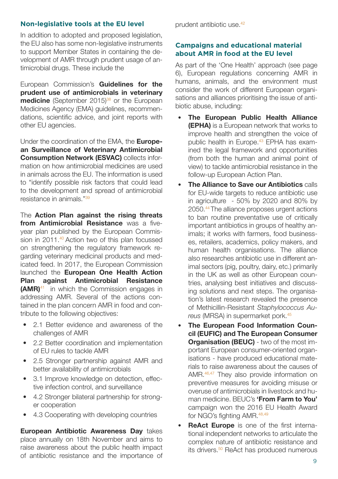#### **Non-legislative tools at the EU level**

In addition to adopted and proposed legislation, the EU also has some non-legislative instruments to support Member States in containing the development of AMR through prudent usage of antimicrobial drugs. These include the

European Commission's **Guidelines for the prudent use of antimicrobials in veterinary medicine** (September 2015)<sup>38</sup> or the European Medicines Agency (EMA) guidelines, recommendations, scientific advice, and joint reports with other EU agencies.

Under the coordination of the EMA, the **European Surveillance of Veterinary Antimicrobial Consumption Network (ESVAC)** collects information on how antimicrobial medicines are used in animals across the EU. The information is used to "identify possible risk factors that could lead to the development and spread of antimicrobial resistance in animals."39

The **Action Plan against the rising threats from Antimicrobial Resistance** was a fiveyear plan published by the European Commission in 2011.<sup>40</sup> Action two of this plan focussed on strengthening the regulatory framework regarding veterinary medicinal products and medicated feed. In 2017, the European Commission launched the **European One Health Action Plan against Antimicrobial Resistance (AMR)**41 in which the Commission engages in addressing AMR. Several of the actions contained in the plan concern AMR in food and contribute to the following objectives:

- 2.1 Better evidence and awareness of the challenges of AMR
- 2.2 Better coordination and implementation of EU rules to tackle AMR
- 2.5 Stronger partnership against AMR and better availability of antimicrobials
- 3.1 Improve knowledge on detection, effective infection control, and surveillance
- 4.2 Stronger bilateral partnership for stronger cooperation
- 4.3 Cooperating with developing countries

**European Antibiotic Awareness Day** takes place annually on 18th November and aims to raise awareness about the public health impact of antibiotic resistance and the importance of prudent antibiotic use.42

#### **Campaigns and educational material about AMR in food at the EU level**

As part of the 'One Health' approach (see page 6), European regulations concerning AMR in humans, animals, and the environment must consider the work of different European organisations and alliances prioritising the issue of antibiotic abuse, including:

- **The European Public Health Alliance (EPHA)** is a European network that works to improve health and strengthen the voice of public health in Europe.43 EPHA has examined the legal framework and opportunities (from both the human and animal point of view) to tackle antimicrobial resistance in the follow-up European Action Plan.
- **The Alliance to Save our Antibiotics** calls for EU-wide targets to reduce antibiotic use in agriculture - 50% by 2020 and 80% by 2050.44 The alliance proposes urgent actions to ban routine preventative use of critically important antibiotics in groups of healthy animals; it works with farmers, food businesses, retailers, academics, policy makers, and human health organisations. The alliance also researches antibiotic use in different animal sectors (pig, poultry, dairy, etc.) primarily in the UK as well as other European countries, analysing best initiatives and discussing solutions and next steps. The organisation's latest research revealed the presence of Methicillin-Resistant *Staphylococcus Au*reus (MRSA) in supermarket pork.<sup>45</sup>
- **The European Food Information Council (EUFIC) and The European Consumer Organisation (BEUC)** - two of the most important European consumer-oriented organisations - have produced educational materials to raise awareness about the causes of AMR.<sup>46,47</sup> They also provide information on preventive measures for avoiding misuse or overuse of antimicrobials in livestock and human medicine. BEUC's **'From Farm to You'** campaign won the 2016 EU Health Award for NGO's fighting AMR.<sup>48,49</sup>
- **ReAct Europe** is one of the first international independent networks to articulate the complex nature of antibiotic resistance and its drivers.<sup>50</sup> ReAct has produced numerous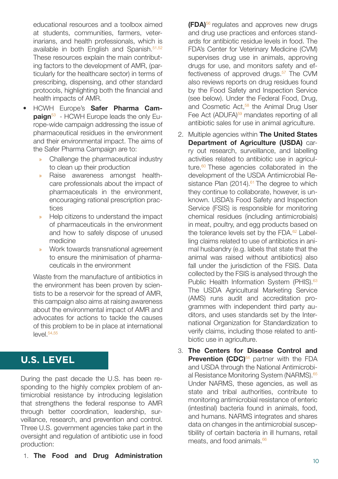educational resources and a toolbox aimed at students, communities, farmers, veterinarians, and health professionals, which is available in both English and Spanish.<sup>51,52</sup> These resources explain the main contributing factors to the development of AMR, (particularly for the healthcare sector) in terms of prescribing, dispensing, and other standard protocols, highlighting both the financial and health impacts of AMR.

- HCWH Europe's **Safer Pharma Campaign**<sup>53</sup> - HCWH Europe leads the only Europe-wide campaign addressing the issue of pharmaceutical residues in the environment and their environmental impact. The aims of the Safer Pharma Campaign are to:
	- » Challenge the pharmaceutical industry to clean up their production
	- » Raise awareness amongst healthcare professionals about the impact of pharmaceuticals in the environment, encouraging rational prescription practices
	- » Help citizens to understand the impact of pharmaceuticals in the environment and how to safely dispose of unused medicine
	- » Work towards transnational agreement to ensure the minimisation of pharmaceuticals in the environment

Waste from the manufacture of antibiotics in the environment has been proven by scientists to be a reservoir for the spread of AMR, this campaign also aims at raising awareness about the environmental impact of AMR and advocates for actions to tackle the causes of this problem to be in place at international  $level.<sup>54,55</sup>$ 

### **U.S. LEVEL**

During the past decade the U.S. has been responding to the highly complex problem of antimicrobial resistance by introducing legislation that strengthens the federal response to AMR through better coordination, leadership, surveillance, research, and prevention and control. Three U.S. government agencies take part in the oversight and regulation of antibiotic use in food production:

1. **The Food and Drug Administration** <sup>10</sup>

**(FDA)**56 regulates and approves new drugs and drug use practices and enforces standards for antibiotic residue levels in food. The FDA's Center for Veterinary Medicine (CVM) supervises drug use in animals, approving drugs for use, and monitors safety and effectiveness of approved drugs. $57$  The CVM also reviews reports on drug residues found by the Food Safety and Inspection Service (see below). Under the Federal Food, Drug, and Cosmetic Act,<sup>58</sup> the Animal Drug User Fee Act (ADUFA)<sup>59</sup> mandates reporting of all antibiotic sales for use in animal agriculture.

- 2. Multiple agencies within **The United States Department of Agriculture (USDA)** carry out research, surveillance, and labelling activities related to antibiotic use in agriculture.<sup>60</sup> These agencies collaborated in the development of the USDA Antimicrobial Resistance Plan  $(2014).<sup>61</sup>$  The degree to which they continue to collaborate, however, is unknown. USDA's Food Safety and Inspection Service (FSIS) is responsible for monitoring chemical residues (including antimicrobials) in meat, poultry, and egg products based on the tolerance levels set by the FDA.<sup>62</sup> Labelling claims related to use of antibiotics in animal husbandry (e.g. labels that state that the animal was raised without antibiotics) also fall under the jurisdiction of the FSIS. Data collected by the FSIS is analysed through the Public Health Information System (PHIS).<sup>63</sup> The USDA Agricultural Marketing Service (AMS) runs audit and accreditation programmes with independent third party auditors, and uses standards set by the International Organization for Standardization to verify claims, including those related to antibiotic use in agriculture.
- 3. **The Centers for Disease Control and Prevention (CDC)<sup>64</sup> partner with the FDA** and USDA through the National Antimicrobial Resistance Monitoring System (NARMS).<sup>65</sup> Under NARMS, these agencies, as well as state and tribal authorities, contribute to monitoring antimicrobial resistance of enteric (intestinal) bacteria found in animals, food, and humans. NARMS integrates and shares data on changes in the antimicrobial susceptibility of certain bacteria in ill humans, retail meats, and food animals.<sup>66</sup>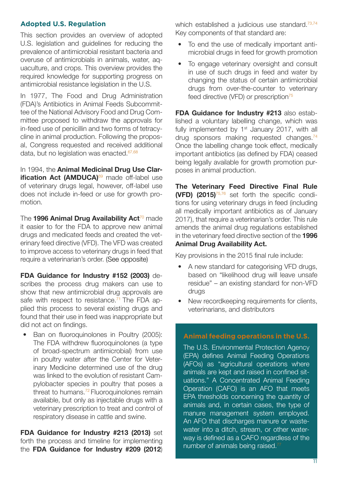#### **Adopted U.S. Regulation**

This section provides an overview of adopted U.S. legislation and guidelines for reducing the prevalence of antimicrobial resistant bacteria and overuse of antimicrobials in animals, water, aquaculture, and crops. This overview provides the required knowledge for supporting progress on antimicrobial resistance legislation in the U.S.

In 1977, The Food and Drug Administration (FDA)'s Antibiotics in Animal Feeds Subcommittee of the National Advisory Food and Drug Committee proposed to withdraw the approvals for in-feed use of penicillin and two forms of tetracycline in animal production. Following the proposal, Congress requested and received additional data, but no legislation was enacted.<sup>67,68</sup>

In 1994, the **Animal Medicinal Drug Use Clarification Act (AMDUCA)<sup>69</sup> made off-label use** of veterinary drugs legal, however, off-label use does not include in-feed or use for growth promotion.

The **1996 Animal Drug Availability Act<sup>70</sup> made** it easier to for the FDA to approve new animal drugs and medicated feeds and created the veterinary feed directive (VFD). The VFD was created to improve access to veterinary drugs in feed that require a veterinarian's order. (See opposite)

**FDA Guidance for Industry #152 (2003)** describes the process drug makers can use to show that new antimicrobial drug approvals are safe with respect to resistance.<sup>71</sup> The FDA applied this process to several existing drugs and found that their use in feed was inappropriate but did not act on findings.

Ban on fluoroquinolones in Poultry (2005): The FDA withdrew fluoroquinolones (a type of broad-spectrum antimicrobial) from use in poultry water after the Center for Veterinary Medicine determined use of the drug was linked to the evolution of resistant Campylobacter species in poultry that poses a threat to humans.<sup>72</sup> Fluoroquinolones remain available, but only as injectable drugs with a veterinary prescription to treat and control of respiratory disease in cattle and swine.

**FDA Guidance for Industry #213 (2013)** set forth the process and timeline for implementing the **FDA Guidance for Industry #209 (2012**) which established a judicious use standard. $73,74$ Key components of that standard are:

- To end the use of medically important antimicrobial drugs in feed for growth promotion
- To engage veterinary oversight and consult in use of such drugs in feed and water by changing the status of certain antimicrobial drugs from over-the-counter to veterinary feed directive (VFD) or prescription<sup>75</sup>

**FDA Guidance for Industry #213** also established a voluntary labelling change, which was fully implemented by  $1<sup>st</sup>$  January 2017, with all drug sponsors making requested changes.<sup>74</sup> Once the labelling change took effect, medically important antibiotics (as defined by FDA) ceased being legally available for growth promotion purposes in animal production.

**The Veterinary Feed Directive Final Rule (VFD) (2015)**75,76 set forth the specific conditions for using veterinary drugs in feed (including all medically important antibiotics as of January 2017), that require a veterinarian's order. This rule amends the animal drug regulations established in the veterinary feed directive section of the **1996 Animal Drug Availability Act.**

Key provisions in the 2015 final rule include:

- A new standard for categorising VFD drugs, based on "likelihood drug will leave unsafe residue" – an existing standard for non-VFD drugs
- New recordkeeping requirements for clients, veterinarians, and distributors

#### **Animal feeding operations in the U.S.**

The U.S. Environmental Protection Agency (EPA) defines Animal Feeding Operations (AFOs) as "agricultural operations where animals are kept and raised in confined situations." A Concentrated Animal Feeding Operation (CAFO) is an AFO that meets EPA thresholds concerning the quantity of animals and, in certain cases, the type of manure management system employed. An AFO that discharges manure or wastewater into a ditch, stream, or other waterway is defined as a CAFO regardless of the number of animals being raised. $7$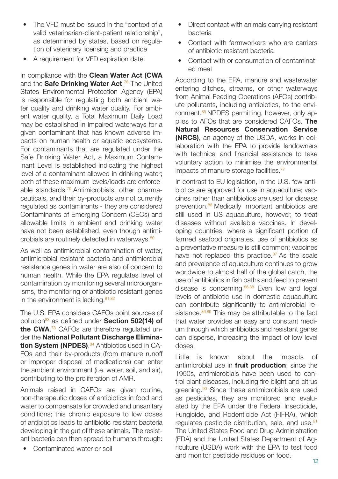- The VFD must be issued in the "context of a valid veterinarian-client-patient relationship", as determined by states, based on regulation of veterinary licensing and practice
- A requirement for VFD expiration date.

In compliance with the **Clean Water Act (CWA**  and the **Safe Drinking Water Act**, 78 The United States Environmental Protection Agency (EPA) is responsible for regulating both ambient water quality and drinking water quality. For ambient water quality, a Total Maximum Daily Load may be established in impaired waterways for a given contaminant that has known adverse impacts on human health or aquatic ecosystems. For contaminants that are regulated under the Safe Drinking Water Act, a Maximum Contaminant Level is established indicating the highest level of a contaminant allowed in drinking water; both of these maximum levels/loads are enforceable standards.<sup>79</sup> Antimicrobials, other pharmaceuticals, and their by-products are not currently regulated as contaminants - they are considered Contaminants of Emerging Concern (CECs) and allowable limits in ambient and drinking water have not been established, even though antimicrobials are routinely detected in waterways.<sup>80</sup>

As well as antimicrobial contamination of water, antimicrobial resistant bacteria and antimicrobial resistance genes in water are also of concern to human health. While the EPA regulates level of contamination by monitoring several microorganisms, the monitoring of antibiotic resistant genes in the environment is lacking. $81,82$ 

The U.S. EPA considers CAFOs point sources of pollution83 as defined under **Section 502(14) of the CWA**. 78 CAFOs are therefore regulated under the **National Pollutant Discharge Elimination System (NPDES)**. 84 Antibiotics used in CA-FOs and their by-products (from manure runoff or improper disposal of medications) can enter the ambient environment (i.e. water, soil, and air), contributing to the proliferation of AMR.

Animals raised in CAFOs are given routine, non-therapeutic doses of antibiotics in food and water to compensate for crowded and unsanitary conditions; this chronic exposure to low doses of antibiotics leads to antibiotic resistant bacteria developing in the gut of these animals. The resistant bacteria can then spread to humans through:

• Contaminated water or soil

- Direct contact with animals carrying resistant bacteria
- Contact with farmworkers who are carriers of antibiotic resistant bacteria
- Contact with or consumption of contaminated meat

According to the EPA, manure and wastewater entering ditches, streams, or other waterways from Animal Feeding Operations (AFOs) contribute pollutants, including antibiotics, to the environment.<sup>85</sup> NPDES permitting, however, only applies to AFOs that are considered CAFOs. **The Natural Resources Conservation Service (NRCS)**, an agency of the USDA, works in collaboration with the EPA to provide landowners with technical and financial assistance to take voluntary action to minimise the environmental impacts of manure storage facilities.<sup>77</sup>

In contrast to EU legislation, in the U.S. few antibiotics are approved for use in aquaculture; vaccines rather than antibiotics are used for disease prevention.<sup>86</sup> Medically important antibiotics are still used in US aquaculture, however, to treat diseases without available vaccines. In developing countries, where a significant portion of farmed seafood originates, use of antibiotics as a preventative measure is still common; vaccines have not replaced this practice.<sup>87</sup> As the scale and prevalence of aquaculture continues to grow worldwide to almost half of the global catch, the use of antibiotics in fish baths and feed to prevent disease is concerning.<sup>86,88</sup> Even low and legal levels of antibiotic use in domestic aquaculture can contribute significantly to antimicrobial resistance. $86,89$  This may be attributable to the fact that water provides an easy and constant medium through which antibiotics and resistant genes can disperse, increasing the impact of low level doses.

Little is known about the impacts of antimicrobial use in **fruit production**; since the 1950s, antimicrobials have been used to control plant diseases, including fire blight and citrus greening.<sup>90</sup> Since these antimicrobials are used as pesticides, they are monitored and evaluated by the EPA under the Federal Insecticide, Fungicide, and Rodenticide Act (FIFRA), which regulates pesticide distribution, sale, and use.<sup>91</sup> The United States Food and Drug Administration (FDA) and the United States Department of Agriculture (USDA) work with the EPA to test food and monitor pesticide residues on food.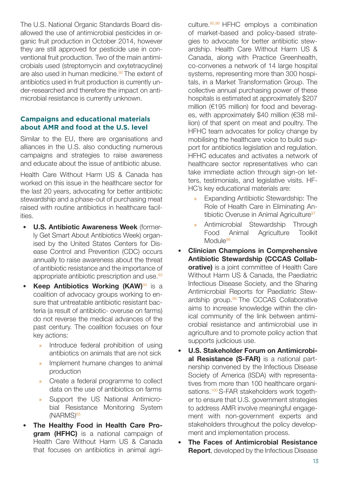The U.S. National Organic Standards Board disallowed the use of antimicrobial pesticides in organic fruit production in October 2014, however they are still approved for pesticide use in conventional fruit production. Two of the main antimicrobials used (streptomycin and oxytetracycline) are also used in human medicine.<sup>92</sup> The extent of antibiotics used in fruit production is currently under-researched and therefore the impact on antimicrobial resistance is currently unknown.

#### **Campaigns and educational materials about AMR and food at the U.S. level**

Similar to the EU, there are organisations and alliances in the U.S. also conducting numerous campaigns and strategies to raise awareness and educate about the issue of antibiotic abuse.

Health Care Without Harm US & Canada has worked on this issue in the healthcare sector for the last 20 years, advocating for better antibiotic stewardship and a phase-out of purchasing meat raised with routine antibiotics in healthcare facilities.

- **U.S. Antibiotic Awareness Week** (formerly Get Smart About Antibiotics Week) organised by the United States Centers for Disease Control and Prevention (CDC) occurs annually to raise awareness about the threat of antibiotic resistance and the importance of appropriate antibiotic prescription and use.<sup>93</sup>
- **Keep Antibiotics Working (KAW)**<sup>94</sup> is a coalition of advocacy groups working to ensure that untreatable antibiotic resistant bacteria (a result of antibiotic- overuse on farms) do not reverse the medical advances of the past century. The coalition focuses on four key actions:
	- » Introduce federal prohibition of using antibiotics on animals that are not sick
	- » Implement humane changes to animal production
	- » Create a federal programme to collect data on the use of antibiotics on farms
	- » Support the US National Antimicrobial Resistance Monitoring System (NARMS)65
- **The Healthy Food in Health Care Program (HFHC)** is a national campaign of Health Care Without Harm US & Canada that focuses on antibiotics in animal agri-

culture.95,96 HFHC employs a combination of market-based and policy-based strategies to advocate for better antibiotic stewardship. Health Care Without Harm US & Canada, along with Practice Greenhealth, co-convenes a network of 14 large hospital systems, representing more than 300 hospitals, in a Market Transformation Group. The collective annual purchasing power of these hospitals is estimated at approximately \$207 million (€195 million) for food and beverages, with approximately \$40 million (€38 million) of that spent on meat and poultry. The HFHC team advocates for policy change by mobilising the healthcare voice to build support for antibiotics legislation and regulation. HFHC educates and activates a network of healthcare sector representatives who can take immediate action through sign-on letters, testimonials, and legislative visits. HF-HC's key educational materials are:

- » Expanding Antibiotic Stewardship: The Role of Health Care in Eliminating Antibiotic Overuse in Animal Agriculture<sup>97</sup>
- » Antimicrobial Stewardship Through Food Animal Agriculture Toolkit Module<sup>98</sup>
- **Clinician Champions in Comprehensive Antibiotic Stewardship (CCCAS Collaborative)** is a joint committee of Health Care Without Harm US & Canada, the Paediatric Infectious Disease Society, and the Sharing Antimicrobial Reports for Paediatric Stewardship group.<sup>99</sup> The CCCAS Collaborative aims to increase knowledge within the clinical community of the link between antimicrobial resistance and antimicrobial use in agriculture and to promote policy action that supports judicious use.
- **U.S. Stakeholder Forum on Antimicrobial Resistance (S-FAR)** is a national partnership convened by the Infectious Disease Society of America (ISDA) with representatives from more than 100 healthcare organisations.<sup>100</sup> S-FAR stakeholders work together to ensure that U.S. government strategies to address AMR involve meaningful engagement with non-government experts and stakeholders throughout the policy development and implementation process.
- **The Faces of Antimicrobial Resistance Report**, developed by the Infectious Disease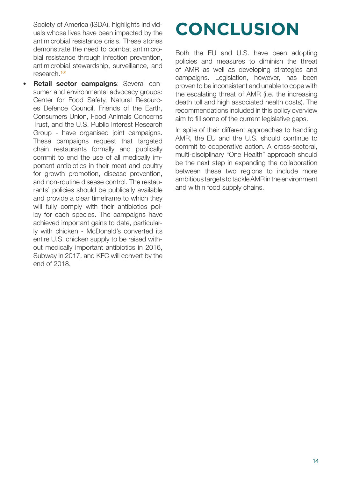Society of America (ISDA), highlights individuals whose lives have been impacted by the antimicrobial resistance crisis. These stories demonstrate the need to combat antimicrobial resistance through infection prevention, antimicrobial stewardship, surveillance, and research.101

• **Retail sector campaigns**: Several consumer and environmental advocacy groups: Center for Food Safety, Natural Resources Defence Council, Friends of the Earth, Consumers Union, Food Animals Concerns Trust, and the U.S. Public Interest Research Group - have organised joint campaigns. These campaigns request that targeted chain restaurants formally and publically commit to end the use of all medically important antibiotics in their meat and poultry for growth promotion, disease prevention, and non-routine disease control. The restaurants' policies should be publically available and provide a clear timeframe to which they will fully comply with their antibiotics policy for each species. The campaigns have achieved important gains to date, particularly with chicken - McDonald's converted its entire U.S. chicken supply to be raised without medically important antibiotics in 2016, Subway in 2017, and KFC will convert by the end of 2018.

# **CONCLUSION**

Both the EU and U.S. have been adopting policies and measures to diminish the threat of AMR as well as developing strategies and campaigns. Legislation, however, has been proven to be inconsistent and unable to cope with the escalating threat of AMR (i.e. the increasing death toll and high associated health costs). The recommendations included in this policy overview aim to fill some of the current legislative gaps.

In spite of their different approaches to handling AMR, the EU and the U.S. should continue to commit to cooperative action. A cross-sectoral, multi-disciplinary "One Health" approach should be the next step in expanding the collaboration between these two regions to include more ambitious targets to tackle AMR in the environment and within food supply chains.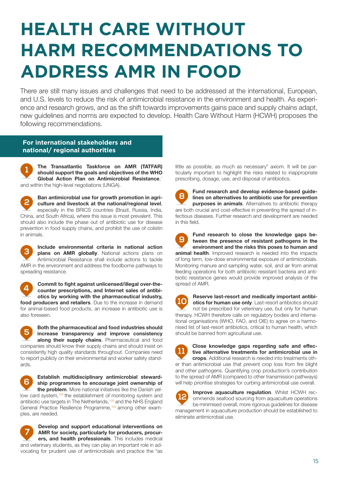## **HEALTH CARE WITHOUT HARM RECOMMENDATIONS TO ADDRESS AMR IN FOOD**

There are still many issues and challenges that need to be addressed at the international, European, and U.S. levels to reduce the risk of antimicrobial resistance in the environment and health. As experience and research grows, and as the shift towards improvements gains pace and supply chains adapt, new guidelines and norms are expected to develop. Health Care Without Harm (HCWH) proposes the following recommendations.

#### **For international stakeholders and national/ regional authorities**

**The Transatlantic Taskforce on AMR (TATFAR) should support the goals and objectives of the WHO Global Action Plan on Antimicrobial Resistance**, 1 and within the high-level negotiations (UNGA).

**Ban antimicrobial use for growth promotion in agriculture and livestock at the national/regional level**, especially in the BRICS countries (Brazil, Russia, India, China, and South Africa), where this issue is most prevalent. This should also include the phase out of antibiotic use for disease prevention in food supply chains, and prohibit the use of colistin in animals.

**Include environmental criteria in national action plans on AMR globally**. National actions plans on Antimicrobial Resistance shall include actions to tackle AMR in the environment and address the foodborne pathways to spreading resistance.

**Commit to fight against unlicensed/illegal over-thecounter prescriptions, and Internet sales of antibiotics by working with the pharmaceutical industry, food producers and retailers**. Due to the increase in demand for animal-based food products, an increase in antibiotic use is also foreseen.

**Both the pharmaceutical and food industries should increase transparency and improve consistency along their supply chains**. Pharmaceutical and food companies should know their supply chains and should insist on consistently high quality standards throughout. Companies need to report publicly on their environmental and worker safety standards.

**Establish multidisciplinary antimicrobial steward-** $\mathbf{6}$ **ship programmes to encourage joint ownership of the problem**. More national initiatives like the Danish yellow card system,<sup>102</sup> the establishment of monitoring system and antibiotic use targets in The Netherlands,<sup>103</sup> and the NHS England General Practice Resilience Programme,104 among other examples, are needed.

**Develop and support educational interventions on AMR for society, particularly for producers, procurers, and health professionals**. This includes medical and veterinary students, as they can play an important role in advocating for prudent use of antimicrobials and practice the "as little as possible, as much as necessary" axiom. It will be particularly important to highlight the risks related to inappropriate prescribing, dosage, use, and disposal of antibiotics.

**Fund research and develop evidence-based guidelines on alternatives to antibiotic use for prevention purposes in animals**. Alternatives to antibiotic therapy are both crucial and cost-effective in preventing the spread of infectious diseases. Further research and development are needed in this field.

**Fund research to close the knowledge gaps between the presence of resistant pathogens in the environment and the risks this poses to human and animal health**. Improved research is needed into the impacts of long term, low-dose environmental exposure of antimicrobials. Monitoring manure and sampling water, soil, and air from animal feeding operations for both antibiotic resistant bacteria and antibiotic resistance genes would provide improved analysis of the spread of AMR.

**Reserve last-resort and medically important antibi-** $10$ **otics for human use only**. Last-resort antibiotics should not be prescribed for veterinary use, but only for human therapy. HCWH therefore calls on regulatory bodies and international organisations (WHO, FAO, and OIE) to agree on a harmonised list of last-resort antibiotics, critical to human health, which should be banned from agricultural use.



**Improve aquaculture regulation**. Whilst HCWH recommends seafood sourcing from aquaculture operations be minimised overall, more rigorous guidelines for disease management in aquaculture production should be established to eliminate antimicrobial use.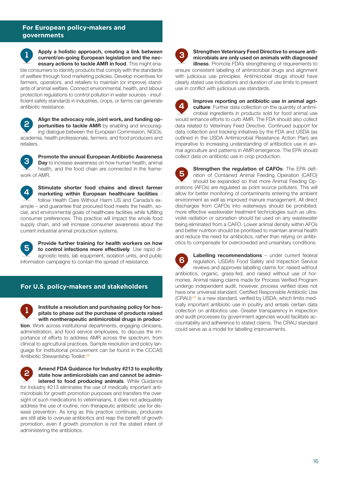#### **For European policy-makers and governments**

**Apply a holistic approach, creating a link between current/on-going European legislation and the necessary actions to tackle AMR in food**. This might enable consumers to identify products that comply with the standards of welfare through food marketing policies. Develop incentives for farmers, operators, and retailers to maintain (or improve) standards of animal welfare. Connect environmental, health, and labour protection regulations to control pollution in water sources - insufficient safety standards in industries, crops, or farms can generate antibiotic resistance.

**Align the advocacy role, joint work, and funding op-** $\overline{c}$ **portunities to tackle AMR** by enabling and encouraging dialogue between the European Commission, NGOs, academia, health professionals, farmers, and food producers and retailers.

**Promote the annual European Antibiotic Awareness Day** to increase awareness on how human health, animal health, and the food chain are connected in the framework of AMR.

**Stimulate shorter food chains and direct farmer**   $\mathbf{A}$ **marketing within European healthcare facilities** follow Health Care Without Harm US and Canada's example – and guarantee that procured food meets the health, social, and environmental goals of healthcare facilities while fulfilling consumer preferences. This practice will impact the whole food supply chain, and will increase consumer awareness about the current industrial animal production systems.

**Provide further training for health workers on how to control infections more effectively**. Use rapid diagnostic tests, lab equipment, isolation units, and public information campaigns to contain the spread of resistance.

#### **For U.S. policy-makers and stakeholders**

**Institute a resolution and purchasing policy for hospitals to phase out the purchase of products raised with nontherapeutic antimicrobial drugs in produc-**

**tion**. Work across institutional departments, engaging clinicians, administration, and food service employees, to discuss the importance of efforts to address AMR across the spectrum, from clinical to agricultural practices. Sample resolution and policy language for institutional procurement can be found in the CCCAS Antibiotic Stewardship Toolkit.<sup>98</sup>



for Industry #213 eliminates the use of medically important antimicrobials for growth promotion purposes and transfers the oversight of such medications to veterinarians, it does not adequately address the use of routine, non-therapeutic antibiotic use for disease prevention. As long as this practice continues, producers are still able to overuse antibiotics and reap the benefit of growth promotion, even if growth promotion is not the stated intent of administering the antibiotics.



**Strengthen Veterinary Feed Directive to ensure antimicrobials are only used on animals with diagnosed illness**. Promote FDA's strengthening of requirements to

ensure consistent labelling of antimicrobial drugs and alignment with judicious use principles. Antimicrobial drugs should have clearly stated use indications and duration of use limits to prevent use in conflict with judicious use standards.



**Improve reporting on antibiotic use in animal agriculture**: Further data collection on the quantity of antimicrobial ingredients in products sold for food animal use would enhance efforts to curb AMR. The FDA should also collect data related to Veterinary Feed Directive. Continued support for data collection and tracking initiatives by the FDA and USDA (as outlined in the USDA Antimicrobial Resistance Action Plan) are imperative to increasing understanding of antibiotics use in animal agriculture and patterns in AMR emergence. The EPA should collect data on antibiotic use in crop production.

**Strengthen the regulation of CAFOs**: The EPA definition of Contained Animal Feeding Operation (CAFO) should be expanded so that more Animal Feeding Operations (AFOs) are regulated as point source polluters. This will allow for better monitoring of contaminants entering the ambient environment as well as improved manure management. All direct discharges from CAFOs into waterways should be prohibited; more effective wastewater treatment technologies such as ultraviolet radiation or ozonation should be used on any wastewater being eliminated from a CAFO. Lower animal density within AFOs and better nutrition should be prioritised to maintain animal health and reduce the need for antibiotics, rather than relying on antibiotics to compensate for overcrowded and unsanitary conditions.

**Labelling recommendations** – under current federal  $6\overline{6}$ regulation, USDA's Food Safety and Inspection Service reviews and approves labelling claims for: raised without antibiotics, organic, grass-fed, and raised without use of hormones. Animal raising claims made for Process Verified Program undergo independent audit, however, process verified does not have one universal standard. Certified Responsible Antibiotic Use (CRAU)<sup>105</sup> is a new standard, verified by USDA, which limits medically important antibiotic use in poultry and entails certain data collection on antibiotics use. Greater transparency in inspection and audit processes by government agencies would facilitate accountability and adherence to stated claims. The CRAU standard could serve as a model for labelling improvements.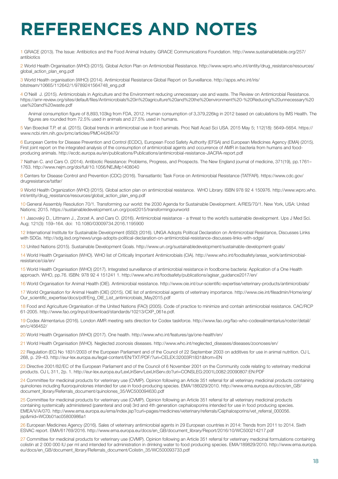# **REFERENCES AND NOTES**

1 GRACE (2013). The Issue: Antibiotics and the Food Animal Industry. GRACE Communications Foundation. http://www.sustainabletable.org/257/ antibiotics

2 World Health Organisation (WHO) (2015). Global Action Plan on Antimicrobial Resistance. http://www.wpro.who.int/entity/drug\_resistance/resources/ global\_action\_plan\_eng.pdf

3 World Health organisation (WHO) (2014). Antimicrobial Resistance Global Report on Surveillance. http://apps.who.int/iris/ bitstream/10665/112642/1/9789241564748\_eng.pdf

4 O'Neill J. (2015). Antimicrobials in Agriculture and the Environment reducing unnecessary use and waste. The Review on Antimicrobial Resistance. https://amr-review.org/sites/default/files/Antimicrobials%20in%20agriculture%20and%20the%20environment%20-%20Reducing%20unnecessary%20 use%20and%20waste.pdf

Animal consumption figure of 8,893,103kg from FDA, 2012. Human consumption of 3,379,226kg in 2012 based on calculations by IMS Health. The figures are rounded from 72.5% used in animals and 27.5% used in humans.

5 Van Boeckel T.P. et al. (2015). Global trends in antimicrobial use in food animals. Proc Natl Acad Sci USA. 2015 May 5; 112(18): 5649–5654. https:// www.ncbi.nlm.nih.gov/pmc/articles/PMC4426470/

6 European Centre for Disease Prevention and Control (ECDC), European Food Safety Authority (EFSA) and European Medicines Agency (EMA) (2015). First joint report on the integrated analysis of the consumption of antimicrobial agents and occurrence of AMR in bacteria from humans and foodproducing animals. http://ecdc.europa.eu/en/publications/Publications/antimicrobial-resistance-JIACRA-report.pdf

7 Nathan C. and Cars O. (2014). Antibiotic Resistance: Problems, Progress, and Prospects. The New England journal of medicine, 371(19), pp.1761– 1763. http://www.nejm.org/doi/full/10.1056/NEJMp1408040

8 Centers for Disease Control and Prevention (CDC) (2016). Transatlantic Task Force on Antimicrobial Resistance (TATFAR). https://www.cdc.gov/ drugresistance/tatfar/

9 World Health Organization (WHO) (2015). Global action plan on antimicrobial resistance. WHO Library. ISBN 978 92 4 150976. http://www.wpro.who. int/entity/drug\_resistance/resources/global\_action\_plan\_eng.pdf

10 General Assembly Resolution 70/1. Transforming our world: the 2030 Agenda for Sustainable Development. A/RES/70/1. New York, USA: United Nations; 2015. https://sustainabledevelopment.un.org/post2015/transformingourworld

11 Jasovský D., Littmann J., Zorzet A. and Cars O. (2016). Antimicrobial resistance - a threat to the world's sustainable development. Ups J Med Sci. Aug; 121(3): 159–164. doi: 10.1080/03009734.2016.1195900

12 International Institute for Sustainable Development (ISSD) (2016). UNGA Adopts Political Declaration on Antimicrobial Resistance, Discusses Links with SDGs. http://sdg.iisd.org/news/unga-adopts-political-declaration-on-antimicrobial-resistance-discusses-links-with-sdgs/

13 United Nations (2015). Sustainable Development Goals. http://www.un.org/sustainabledevelopment/sustainable-development-goals/

14 World Health Organisation (WHO). WHO list of Critically Important Antimicrobials (CIA). http://www.who.int/foodsafety/areas\_work/antimicrobialresistance/cia/en/

15 World Health Organisation (WHO) (2017). Integrated surveillance of antimicrobial resistance in foodborne bacteria: Application of a One Health approach. WHO, pp.76. ISBN: 978 92 4 151241 1. http://www.who.int/foodsafety/publications/agisar\_guidance2017/en/

16 World Organisation for Animal Health (OIE). Antimicrobial resistance. http://www.oie.int/our-scientific-expertise/veterinary-products/antimicrobials/

17 World Organisation for Animal Health (OIE) (2015). OIE list of antimicrobial agents of veterinary importance. http://www.oie.int/fileadmin/Home/eng/ Our\_scientific\_expertise/docs/pdf/Eng\_OIE\_List\_antimicrobials\_May2015.pdf

18 Food and Agriculture Organisation of the United Nations (FAO) (2005). Code of practice to minimize and contain antimicrobial resistance. CAC/RCP 61-2005. http://www.fao.org/input/download/standards/10213/CXP\_061e.pdf.

19 Codex Alimentarius (2016). London AMR meeting sets direction for Codex taskforce. http://www.fao.org/fao-who-codexalimentarius/roster/detail/ en/c/456452/

20 World Health Organisation (WHO) (2017). One health. http://www.who.int/features/qa/one-health/en/

21 World Health Organisation (WHO). Neglected zoonosis diseases. http://www.who.int/neglected\_diseases/diseases/zoonoses/en/

22 Regulation (EC) No 1831/2003 of the European Parliament and of the Council of 22 September 2003 on additives for use in animal nutrition. OJ L 268, p. 29–43. http://eur-lex.europa.eu/legal-content/EN/TXT/PDF/?uri=CELEX:32003R1831&from=EN

23 Directive 2001/82/EC of the European Parliament and of the Council of 6 November 2001 on the Community code relating to veterinary medicinal products. OJ L 311, 2p. 1. http://eur-lex.europa.eu/LexUriServ/LexUriServ.do?uri=CONSLEG:2001L0082:20090807:EN:PDF

24 Committee for medicinal products for veterinary use (CVMP). Opinion following an Article 351 referral for all veterinary medicinal products containing quinolones including fluoroquinolones intended for use in food-producing species. EMA/186029/2010. http://www.ema.europa.eu/docs/en\_GB/ document\_library/Referrals\_document/quinolones\_35/WC500094630.pdf

25 Committee for medicinal products for veterinary use (CVMP). Opinion following an Article 351 referral for all veterinary medicinal products containing systemically administered (parenteral and oral) 3rd and 4th generation cephalosporins intended for use in food producing species. EMEA/V/A/070. http://www.ema.europa.eu/ema/index.jsp?curl=pages/medicines/veterinary/referrals/Cephalosporins/vet\_referral\_000056. jsp&mid=WC0b01ac05800986a1

26 European Medicines Agency (2016). Sales of veterinary antimicrobial agents in 29 European countries in 2014: Trends from 2011 to 2014. Sixth ESVAC report. EMA/61769/2016. http://www.ema.europa.eu/docs/en\_GB/document\_library/Report/2016/10/WC500214217.pdf

27 Committee for medicinal products for veterinary use (CVMP). Opinion following an Article 351 referral for veterinary medicinal formulations containing colistin at 2 000 000 IU per ml and intended for administration in drinking water to food producing species. EMA/189829/2010. http://www.ema.europa. eu/docs/en\_GB/document\_library/Referrals\_document/Colistin\_35/WC500093733.pdf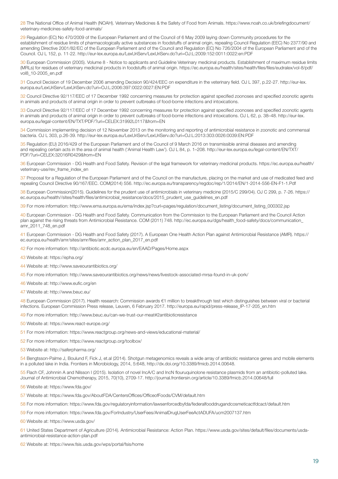28 The National Office of Animal Health (NOAH). Veterinary Medicines & the Safety of Food from Animals. https://www.noah.co.uk/briefingdocument/ veterinary-medicines-safety-food-animals/

29 Regulation (EC) No 470/2009 of the European Parliament and of the Council of 6 May 2009 laying down Community procedures for the establishment of residue limits of pharmacologically active substances in foodstuffs of animal origin, repealing Council Regulation (EEC) No 2377/90 and amending Directive 2001/82/EC of the European Parliament and of the Council and Regulation (EC) No 726/2004 of the European Parliament and of the Council. OJ L 152, p. 11-22. http://eur-lex.europa.eu/LexUriServ/LexUriServ.do?uri=OJ:L:2009:152:0011:0022:en:PDF

30 European Commission (2005). Volume 8 - Notice to applicants and Guideline Veterinary medicinal products. Establishment of maximum residue limits (MRLs) for residues of veterinary medicinal products in foodstuffs of animal origin. https://ec.europa.eu/health/sites/health/files/files/eudralex/vol-8/pdf/ vol8\_10-2005\_en.pdf

31 Council Decision of 19 December 2006 amending Decision 90/424/EEC on expenditure in the veterinary field. OJ L 397, p.22-27. http://eur-lex. europa.eu/LexUriServ/LexUriServ.do?uri=OJ:L:2006:397:0022:0027:EN:PDF

32 Council Directive 92/117/EEC of 17 December 1992 concerning measures for protection against specified zoonoses and specified zoonotic agents in animals and products of animal origin in order to prevent outbreaks of food-borne infections and intoxications.

33 Council Directive 92/117/EEC of 17 December 1992 concerning measures for protection against specified zoonoses and specified zoonotic agents in animals and products of animal origin in order to prevent outbreaks of food-borne infections and intoxications. OJ L 62, p. 38–48. http://eur-lex. europa.eu/legal-content/EN/TXT/PDF/?uri=CELEX:31992L0117&from=EN

34 Commission implementing decision of 12 November 2013 on the monitoring and reporting of antimicrobial resistance in zoonotic and commensal bacteria. OJ L 303, p.26-39. http://eur-lex.europa.eu/LexUriServ/LexUriServ.do?uri=OJ:L:2013:303:0026:0039:EN:PDF

35 Regulation (EU) 2016/429 of the European Parliament and of the Council of 9 March 2016 on transmissible animal diseases and amending and repealing certain acts in the area of animal health ('Animal Health Law'). OJ L 84, p. 1–208. http://eur-lex.europa.eu/legal-content/EN/TXT/ PDF/?uri=CELEX:32016R0429&from=EN

36 European Commission - DG Health and Food Safety. Revision of the legal framework for veterinary medicinal products. https://ec.europa.eu/health/ veterinary-use/rev\_frame\_index\_en

37 Proposal for a Regulation of the European Parliament and of the Council on the manufacture, placing on the market and use of medicated feed and repealing Council Directive 90/167/EEC. COM(2014) 556. http://ec.europa.eu/transparency/regdoc/rep/1/2014/EN/1-2014-556-EN-F1-1.Pdf

38 European Commission(2015). Guidelines for the prudent use of antimicrobials in veterinary medicine (2015/C 299/04). OJ C 299, p. 7-26. https:// ec.europa.eu/health//sites/health/files/antimicrobial\_resistance/docs/2015\_prudent\_use\_quidelines\_en.pdf

39 For more information: http://www.ema.europa.eu/ema/index.jsp?curl=pages/regulation/document\_listing/document\_listing\_000302.jsp

40 European Commission - DG Health and Food Safety. Communication from the Commission to the European Parliament and the Council Action plan against the rising threats from Antimicrobial Resistance. COM (2011) 748. http://ec.europa.eu/dgs/health\_food-safety/docs/communication\_ amr\_2011\_748\_en.pdf

41 European Commission - DG Health and Food Safety (2017). A European One Health Action Plan against Antimicrobial Resistance (AMR). https:// ec.europa.eu/health/amr/sites/amr/files/amr\_action\_plan\_2017\_en.pdf

42 For more information: http://antibiotic.ecdc.europa.eu/en/EAAD/Pages/Home.aspx

43 Website at: https://epha.org/

- 44 Website at: http://www.saveourantibiotics.org/
- 45 For more information: http://www.saveourantibiotics.org/news/news/livestock-associated-mrsa-found-in-uk-pork/
- 46 Website at: http://www.eufic.org/en
- 47 Website at: http://www.beuc.eu/

48 European Commission (2017). Health research: Commission awards €1 million to breakthrough test which distinguishes between viral or bacterial infections. European Commission Press release, Leuven, 6 February 2017. http://europa.eu/rapid/press-release\_IP-17-205\_en.htm

49 For more information: http://www.beuc.eu/can-we-trust-our-meat#2antibioticresistance

- 50 Website at: https://www.react-europe.org/
- 51 For more information: https://www.reactgroup.org/news-and-views/educational-material/
- 52 For more information: https://www.reactgroup.org/toolbox/

53 Website at: http://saferpharma.org/

54 Bengtsson-Palme J, Boulund F, Fick J, et.al (2014). Shotgun metagenomics reveals a wide array of antibiotic resistance genes and mobile elements in a polluted lake in India. Frontiers in Microbiology, 2014, 5:648, http://dx.doi.org/10.3389/fmicb.2014.00648.

55 Flach CF, Johnnin A and Nilsson I (2015). Isolation of novel IncA/C and IncN flouruquinolone resistance plasmids from an antibiotic-polluted lake. Journal of Antimicrobial Chemotherapy, 2015, 70(10), 2709-17. http://journal.frontiersin.org/article/10.3389/fmicb.2014.00648/full

56 Website at: https://www.fda.gov/

- 57 Website at: https://www.fda.gov/AboutFDA/CentersOffices/OfficeofFoods/CVM/default.htm
- 58 For more information: https://www.fda.gov/regulatoryinformation/lawsenforcedbyfda/federalfooddrugandcosmeticactfdcact/default.htm

59 For more information: https://www.fda.gov/ForIndustry/UserFees/AnimalDrugUserFeeActADUFA/ucm2007137.htm

60 Website at: https://www.usda.gov/

61 United States Department of Agriculture (2014). Antimicrobial Resistance: Action Plan. https://www.usda.gov/sites/default/files/documents/usdaantimicrobial-resistance-action-plan.pdf

62 Website at: https://www.fsis.usda.gov/wps/portal/fsis/home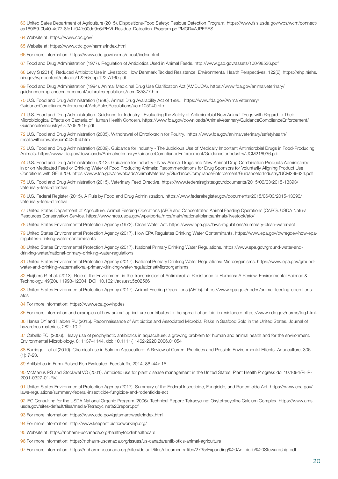63 United Sates Department of Agriculture (2015). Dispositions/Food Safety: Residue Detection Program. https://www.fsis.usda.gov/wps/wcm/connect/ ea169f59-0b40-4c77-8fe1-f04fb00da9e6/PHVt-Residue\_Detection\_Program.pdf?MOD=AJPERES

64 Website at: https://www.cdc.gov/

65 Website at: https://www.cdc.gov/narms/index.html

66 For more information: https://www.cdc.gov/narms/about/index.html

67 Food and Drug Administration (1977). Regulation of Antibiotics Used in Animal Feeds. http://www.gao.gov/assets/100/98536.pdf

68 Levy S (2014). Reduced Antibiotic Use in Livestock: How Denmark Tackled Resistance. Environmental Health Perspectives, 122(6) https://ehp.niehs. nih.gov/wp-content/uploads/122/6/ehp.122-A160.pdf

69 Food and Drug Administration (1994). Animal Medicinal Drug Use Clarification Act (AMDUCA). https://www.fda.gov/animalveterinary/ guidancecomplianceenforcement/actsrulesregulations/ucm085377.htm

70 U.S. Food and Drug Administration (1996). Animal Drug Availability Act of 1996. https://www.fda.gov/AnimalVeterinary/ GuidanceComplianceEnforcement/ActsRulesRegulations/ucm105940.htm

71 U.S. Food and Drug Administration. Guidance for Industry - Evaluating the Safety of Antimicrobial New Animal Drugs with Regard to Their Microbiological Effects on Bacteria of Human Health Concern. https://www.fda.gov/downloads/AnimalVeterinary/GuidanceComplianceEnforcement/ GuidanceforIndustry/UCM052519.pdf

72 U.S. Food and Drug Administration (2005). Withdrawal of Enrofloxacin for Poultry. https://www.fda.gov/animalveterinary/safetyhealth/ recallswithdrawals/ucm042004.htm

73 U.S. Food and Drug Administration (2009). Guidance for Industry - The Judicious Use of Medically Important Antimicrobial Drugs in Food-Producing Animals. https://www.fda.gov/downloads/AnimalVeterinary/GuidanceComplianceEnforcement/GuidanceforIndustry/UCM216936.pdf

74 U.S. Food and Drug Administration (2013). Guidance for Industry - New Animal Drugs and New Animal Drug Combination Products Administered in or on Medicated Feed or Drinking Water of Food Producing Animals: Recommendations for Drug Sponsors for Voluntarily Aligning Product Use Conditions with GFI #209. https://www.fda.gov/downloads/AnimalVeterinary/GuidanceComplianceEnforcement/GuidanceforIndustry/UCM299624.pdf

75 U.S. Food and Drug Administration (2015). Veterinary Feed Directive. https://www.federalregister.gov/documents/2015/06/03/2015-13393/ veterinary-feed-directive

76 U.S. Federal Register (2015). A Rule by Food and Drug Administration. https://www.federalregister.gov/documents/2015/06/03/2015-13393/ veterinary-feed-directive

77 United States Department of Agriculture. Animal Feeding Operations (AFO) and Concentrated Animal Feeding Operations (CAFO). USDA Natural Resources Conservation Service. https://www.nrcs.usda.gov/wps/portal/nrcs/main/national/plantsanimals/livestock/afo/

78 United States Environmental Protection Agency (1972). Clean Water Act. https://www.epa.gov/laws-regulations/summary-clean-water-act

79 United States Environmental Protection Agency (2017). How EPA Regulates Drinking Water Contaminants. https://www.epa.gov/dwregdev/how-eparegulates-drinking-water-contaminants

80 United States Environmental Protection Agency (2017). National Primary Drinking Water Regulations. https://www.epa.gov/ground-water-anddrinking-water/national-primary-drinking-water-regulations

81 United States Environmental Protection Agency (2017). National Primary Drinking Water Regulations: Microorganisms. https://www.epa.gov/groundwater-and-drinking-water/national-primary-drinking-water-regulations#Microorganisms

82 Huijbers P. et al. (2013). Role of the Environment in the Transmission of Antimicrobial Resistance to Humans: A Review. Environmental Science & Technology. 49(20), 11993-12004. DOI: 10.1021/acs.est.5b02566

83 United States Environmental Protection Agency (2017). Animal Feeding Operations (AFOs). https://www.epa.gov/npdes/animal-feeding-operationsafos

84 For more information: https://www.epa.gov/npdes

85 For more information and examples of how animal agriculture contributes to the spread of antibiotic resistance: https://www.cdc.gov/narms/faq.html.

86 Hansa DY and Halden RU (2015). Reconnaissance of Antibiotics and Associated Microbial Risks in Seafood Sold in the United States. Journal of hazardous materials, 282: 10-7.

87 Cabello FC. (2006). Heavy use of prophylactic antibiotics in aquaculture: a growing problem for human and animal health and for the environment. Environmental Microbiology, 8: 1137–1144. doi: 10.1111/j.1462-2920.2006.01054

88 Burridge L et al (2010). Chemical use in Salmon Aquaculture: A Review of Current Practices and Possible Environmental Effects. Aquaculture, 306 (1): 7-23.

89 Antibiotics in Farm-Raised Fish Evaluated. Feedstuffs, 2014, 86 (44): 15.

90 McManus PS and Stockwel VO (2001). Antibiotic use for plant disease management in the United States. Plant Health Progress doi:10.1094/PHP-2001-0327-01-RV.

91 United States Environmental Protection Agency (2017). Summary of the Federal Insecticide, Fungicide, and Rodenticide Act. https://www.epa.gov/ laws-regulations/summary-federal-insecticide-fungicide-and-rodenticide-act

92 IFC Consulting for the USDA National Organic Program (2006). Technical Report: Tetracycline: Oxytetracycline Calcium Complex. https://www.ams. usda.gov/sites/default/files/media/Tetracycline%20report.pdf

93 For more information: https://www.cdc.gov/getsmart/week/index.html

94 For more information: http://www.keepantibioticsworking.org/

95 Website at: https://noharm-uscanada.org/healthyfoodinhealthcare

96 For more information: https://noharm-uscanada.org/issues/us-canada/antibiotics-animal-agriculture

97 For more information: https://noharm-uscanada.org/sites/default/files/documents-files/2735/Expanding%20Antibiotic%20Stewardship.pdf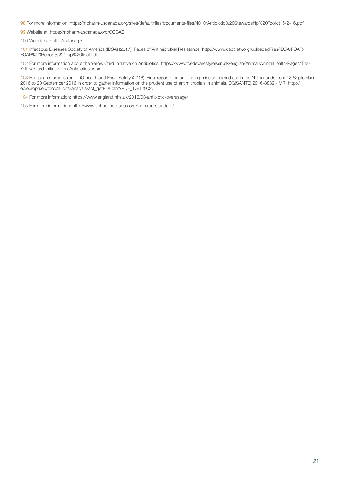98 For more information: https://noharm-uscanada.org/sites/default/files/documents-files/4010/Antibiotic%20Stewardship%20Toolkit\_5-2-16.pdf

99 Website at: https://noharm-uscanada.org/CCCAS

100 Website at: http://s-far.org/

101 Infectious Diseases Society of America (IDSA) (2017). Faces of Antimicrobial Resistance. http://www.idsociety.org/uploadedFiles/IDSA/FOAR/ FOAR%20Report%201-up%20final.pdf

102 For more information about the Yellow Card Initiative on Antibiotics: https://www.foedevarestyrelsen.dk/english/Animal/AnimalHealth/Pages/The-Yellow-Card-Initiative-on-Antibiotics.aspx

103 European Commission - DG health and Food Safety (2016). Final report of a fact-finding mission carried out in the Netherlands from 13 September 2016 to 20 September 2016 in order to gather information on the prudent use of antimicrobials in animals. DG(SANTE) 2016-8889 - MR. http:// ec.europa.eu/food/audits-analysis/act\_getPDF.cfm?PDF\_ID=12902.

104 For more information: https://www.england.nhs.uk/2016/03/antibiotic-overusage/

105 For more information: http://www.schoolfoodfocus.org/the-crau-standard/